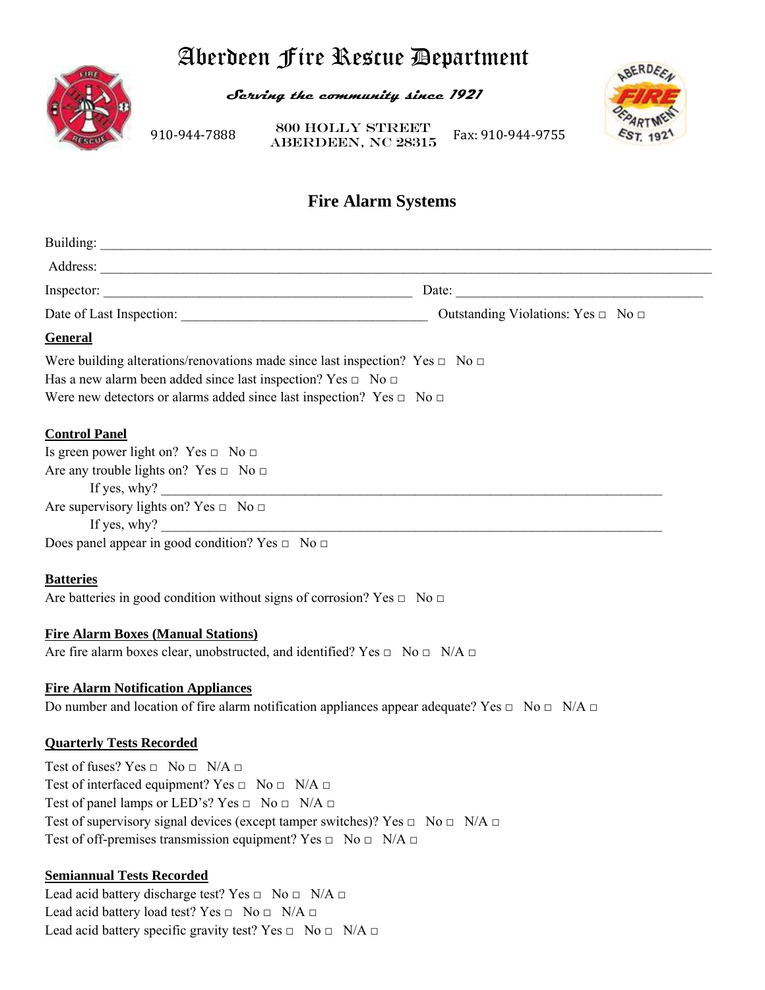# Aberdeen Fire Rescue Department



**Serving the community since 1921** 

910‐944‐7888 

ABERDEEN, NC 28315 Fax: 910‐944‐9755 800 Holly Street



## **Fire Alarm Systems**

| <b>General</b>                                                                                                                                                                                                                                     |                              |
|----------------------------------------------------------------------------------------------------------------------------------------------------------------------------------------------------------------------------------------------------|------------------------------|
| Were building alterations/renovations made since last inspection? Yes $\Box$ No $\Box$<br>Has a new alarm been added since last inspection? Yes $\Box$ No $\Box$<br>Were new detectors or alarms added since last inspection? Yes $\Box$ No $\Box$ |                              |
| <b>Control Panel</b>                                                                                                                                                                                                                               |                              |
| Is green power light on? Yes $\Box$ No $\Box$                                                                                                                                                                                                      |                              |
| Are any trouble lights on? Yes $\Box$ No $\Box$                                                                                                                                                                                                    |                              |
| If yes, why? $\qquad \qquad$                                                                                                                                                                                                                       |                              |
| Are supervisory lights on? Yes $\Box$ No $\Box$                                                                                                                                                                                                    |                              |
|                                                                                                                                                                                                                                                    | If yes, why? $\qquad \qquad$ |
| Does panel appear in good condition? Yes $\Box$ No $\Box$                                                                                                                                                                                          |                              |
| <b>Batteries</b>                                                                                                                                                                                                                                   |                              |
| Are batteries in good condition without signs of corrosion? Yes $\Box$ No $\Box$                                                                                                                                                                   |                              |
| <b>Fire Alarm Boxes (Manual Stations)</b>                                                                                                                                                                                                          |                              |
| Are fire alarm boxes clear, unobstructed, and identified? Yes $\Box$ No $\Box$ N/A $\Box$                                                                                                                                                          |                              |
| <b>Fire Alarm Notification Appliances</b>                                                                                                                                                                                                          |                              |
| Do number and location of fire alarm notification appliances appear adequate? Yes $\Box$ No $\Box$ N/A $\Box$                                                                                                                                      |                              |
| <b>Quarterly Tests Recorded</b>                                                                                                                                                                                                                    |                              |
| Test of fuses? Yes $\Box$ No $\Box$ N/A $\Box$                                                                                                                                                                                                     |                              |
| Test of interfaced equipment? Yes $\Box$ No $\Box$ N/A $\Box$                                                                                                                                                                                      |                              |
| Test of panel lamps or LED's? Yes $\Box$ No $\Box$ N/A $\Box$                                                                                                                                                                                      |                              |
| Test of supervisory signal devices (except tamper switches)? Yes $\Box$ No $\Box$ N/A $\Box$                                                                                                                                                       |                              |
| Test of off-premises transmission equipment? Yes $\Box$ No $\Box$ N/A $\Box$                                                                                                                                                                       |                              |
| <b>Semiannual Tests Recorded</b>                                                                                                                                                                                                                   |                              |
| Lead acid battery discharge test? Yes $\Box$ No $\Box$ N/A $\Box$                                                                                                                                                                                  |                              |

Lead acid battery load test? Yes  $\Box$  No  $\Box$  N/A  $\Box$ Lead acid battery specific gravity test? Yes  $\Box$  No  $\Box$  N/A  $\Box$